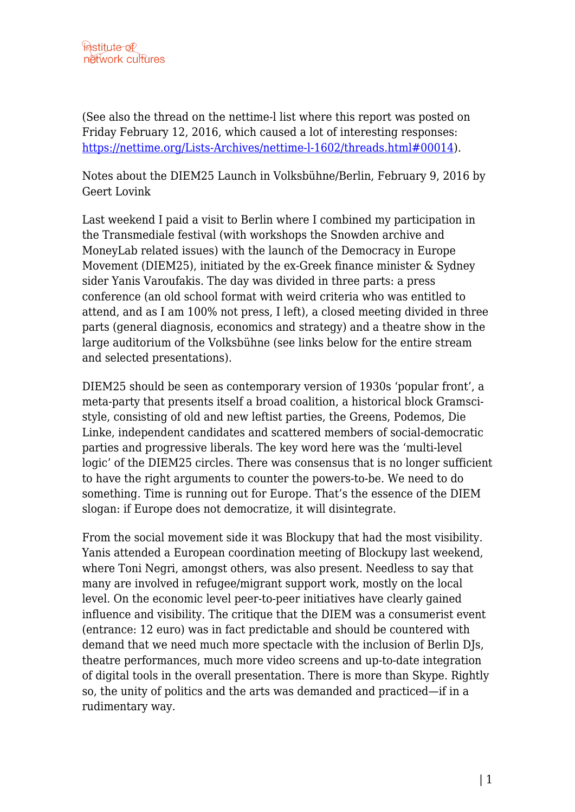(See also the thread on the nettime-l list where this report was posted on Friday February 12, 2016, which caused a lot of interesting responses: [https://nettime.org/Lists-Archives/nettime-l-1602/threads.html#00014\)](https://nettime.org/Lists-Archives/nettime-l-1602/threads.html#00014).

Notes about the DIEM25 Launch in Volksbühne/Berlin, February 9, 2016 by Geert Lovink

Last weekend I paid a visit to Berlin where I combined my participation in the Transmediale festival (with workshops the Snowden archive and MoneyLab related issues) with the launch of the Democracy in Europe Movement (DIEM25), initiated by the ex-Greek finance minister & Sydney sider Yanis Varoufakis. The day was divided in three parts: a press conference (an old school format with weird criteria who was entitled to attend, and as I am 100% not press, I left), a closed meeting divided in three parts (general diagnosis, economics and strategy) and a theatre show in the large auditorium of the Volksbühne (see links below for the entire stream and selected presentations).

DIEM25 should be seen as contemporary version of 1930s 'popular front', a meta-party that presents itself a broad coalition, a historical block Gramscistyle, consisting of old and new leftist parties, the Greens, Podemos, Die Linke, independent candidates and scattered members of social-democratic parties and progressive liberals. The key word here was the 'multi-level logic' of the DIEM25 circles. There was consensus that is no longer sufficient to have the right arguments to counter the powers-to-be. We need to do something. Time is running out for Europe. That's the essence of the DIEM slogan: if Europe does not democratize, it will disintegrate.

From the social movement side it was Blockupy that had the most visibility. Yanis attended a European coordination meeting of Blockupy last weekend, where Toni Negri, amongst others, was also present. Needless to say that many are involved in refugee/migrant support work, mostly on the local level. On the economic level peer-to-peer initiatives have clearly gained influence and visibility. The critique that the DIEM was a consumerist event (entrance: 12 euro) was in fact predictable and should be countered with demand that we need much more spectacle with the inclusion of Berlin DJs, theatre performances, much more video screens and up-to-date integration of digital tools in the overall presentation. There is more than Skype. Rightly so, the unity of politics and the arts was demanded and practiced—if in a rudimentary way.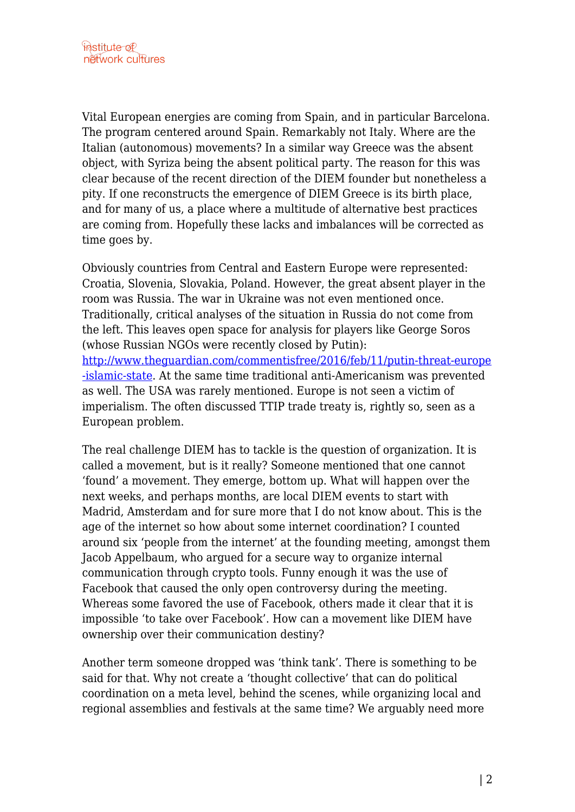Vital European energies are coming from Spain, and in particular Barcelona. The program centered around Spain. Remarkably not Italy. Where are the Italian (autonomous) movements? In a similar way Greece was the absent object, with Syriza being the absent political party. The reason for this was clear because of the recent direction of the DIEM founder but nonetheless a pity. If one reconstructs the emergence of DIEM Greece is its birth place, and for many of us, a place where a multitude of alternative best practices are coming from. Hopefully these lacks and imbalances will be corrected as time goes by.

Obviously countries from Central and Eastern Europe were represented: Croatia, Slovenia, Slovakia, Poland. However, the great absent player in the room was Russia. The war in Ukraine was not even mentioned once. Traditionally, critical analyses of the situation in Russia do not come from the left. This leaves open space for analysis for players like George Soros (whose Russian NGOs were recently closed by Putin): [http://www.theguardian.com/commentisfree/2016/feb/11/putin-threat-europe](http://www.theguardian.com/commentisfree/2016/feb/11/putin-threat-europe-islamic-state) [-islamic-state.](http://www.theguardian.com/commentisfree/2016/feb/11/putin-threat-europe-islamic-state) At the same time traditional anti-Americanism was prevented as well. The USA was rarely mentioned. Europe is not seen a victim of imperialism. The often discussed TTIP trade treaty is, rightly so, seen as a European problem.

The real challenge DIEM has to tackle is the question of organization. It is called a movement, but is it really? Someone mentioned that one cannot 'found' a movement. They emerge, bottom up. What will happen over the next weeks, and perhaps months, are local DIEM events to start with Madrid, Amsterdam and for sure more that I do not know about. This is the age of the internet so how about some internet coordination? I counted around six 'people from the internet' at the founding meeting, amongst them Jacob Appelbaum, who argued for a secure way to organize internal communication through crypto tools. Funny enough it was the use of Facebook that caused the only open controversy during the meeting. Whereas some favored the use of Facebook, others made it clear that it is impossible 'to take over Facebook'. How can a movement like DIEM have ownership over their communication destiny?

Another term someone dropped was 'think tank'. There is something to be said for that. Why not create a 'thought collective' that can do political coordination on a meta level, behind the scenes, while organizing local and regional assemblies and festivals at the same time? We arguably need more